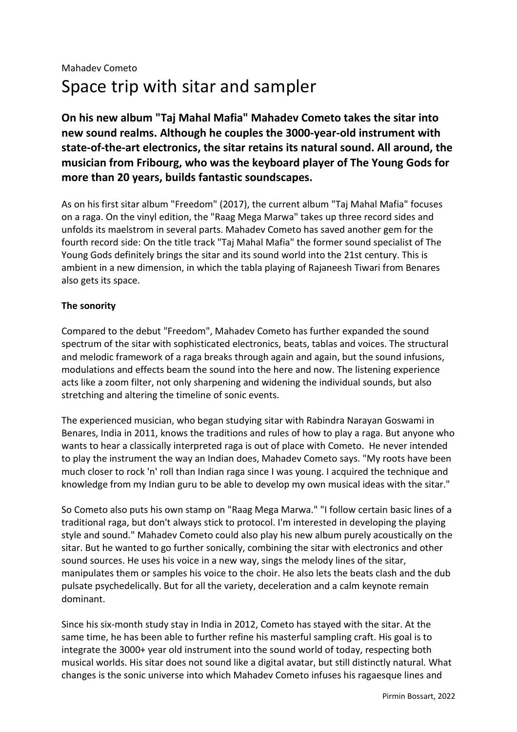**On his new album "Taj Mahal Mafia" Mahadev Cometo takes the sitar into new sound realms. Although he couples the 3000-year-old instrument with state-of-the-art electronics, the sitar retains its natural sound. All around, the musician from Fribourg, who was the keyboard player of The Young Gods for more than 20 years, builds fantastic soundscapes.**

As on his first sitar album "Freedom" (2017), the current album "Taj Mahal Mafia" focuses on a raga. On the vinyl edition, the "Raag Mega Marwa" takes up three record sides and unfolds its maelstrom in several parts. Mahadev Cometo has saved another gem for the fourth record side: On the title track "Taj Mahal Mafia" the former sound specialist of The Young Gods definitely brings the sitar and its sound world into the 21st century. This is ambient in a new dimension, in which the tabla playing of Rajaneesh Tiwari from Benares also gets its space.

## **The sonority**

Compared to the debut "Freedom", Mahadev Cometo has further expanded the sound spectrum of the sitar with sophisticated electronics, beats, tablas and voices. The structural and melodic framework of a raga breaks through again and again, but the sound infusions, modulations and effects beam the sound into the here and now. The listening experience acts like a zoom filter, not only sharpening and widening the individual sounds, but also stretching and altering the timeline of sonic events.

The experienced musician, who began studying sitar with Rabindra Narayan Goswami in Benares, India in 2011, knows the traditions and rules of how to play a raga. But anyone who wants to hear a classically interpreted raga is out of place with Cometo. He never intended to play the instrument the way an Indian does, Mahadev Cometo says. "My roots have been much closer to rock 'n' roll than Indian raga since I was young. I acquired the technique and knowledge from my Indian guru to be able to develop my own musical ideas with the sitar."

So Cometo also puts his own stamp on "Raag Mega Marwa." "I follow certain basic lines of a traditional raga, but don't always stick to protocol. I'm interested in developing the playing style and sound." Mahadev Cometo could also play his new album purely acoustically on the sitar. But he wanted to go further sonically, combining the sitar with electronics and other sound sources. He uses his voice in a new way, sings the melody lines of the sitar, manipulates them or samples his voice to the choir. He also lets the beats clash and the dub pulsate psychedelically. But for all the variety, deceleration and a calm keynote remain dominant.

Since his six-month study stay in India in 2012, Cometo has stayed with the sitar. At the same time, he has been able to further refine his masterful sampling craft. His goal is to integrate the 3000+ year old instrument into the sound world of today, respecting both musical worlds. His sitar does not sound like a digital avatar, but still distinctly natural. What changes is the sonic universe into which Mahadev Cometo infuses his ragaesque lines and